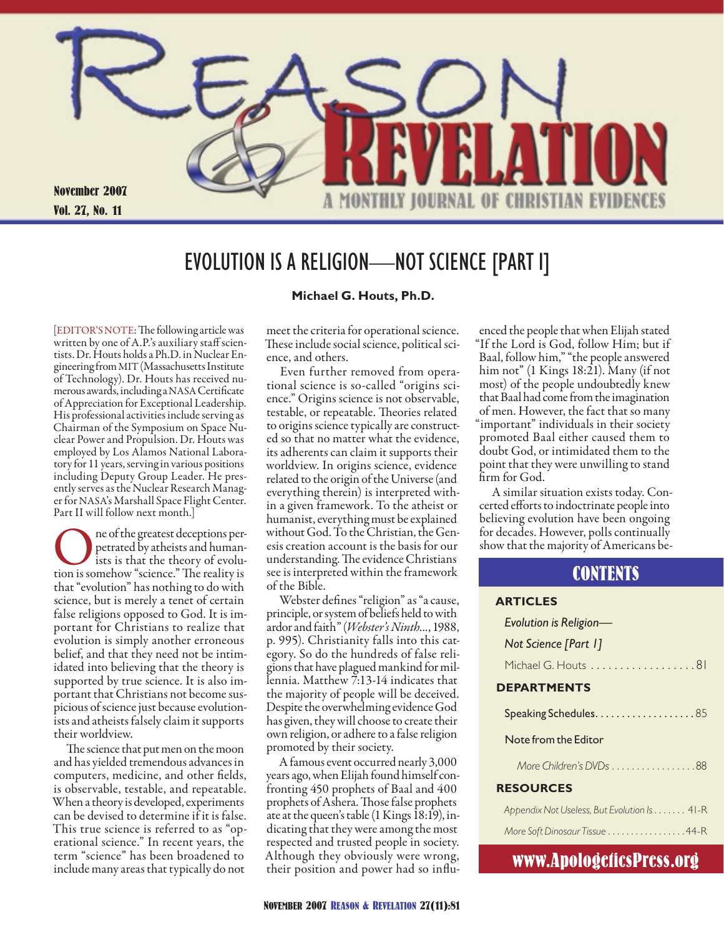

## EVOLUTION IS A RELIGION—NOT SCIENCE [PART I]

[EDITOR'S NOTE: The following article was written by one of A.P.'s auxiliary staff scientists. Dr. Houts holds a Ph.D. in Nuclear Engineering from MIT (Massachusetts Institute of Technology). Dr. Houts has received numerous awards, including a NASA Certificate of Appreciation for Exceptional Leadership. His professional activities include serving as Chairman of the Symposium on Space Nuclear Power and Propulsion. Dr. Houts was employed by Los Alamos National Laboratory for 11 years, serving in various positions including Deputy Group Leader. He presently serves as the Nuclear Research Manager for NASA's Marshall Space Flight Center. Part II will follow next month.]

**OREC SERVIS CONE CONCRETED SERVISTED SERVISTED SERVISTED SERVISTED SERVISTED SERVISTED SERVISTED SERVISTED SERVISTED SERVISTED SERVISTED SERVISTED SERVISTED SERVISTED SERVISTED SERVISTED SERVISTED SERVISTED SERVISTED SERV** petrated by atheists and humanists is that the theory of evoluthat "evolution" has nothing to do with science, but is merely a tenet of certain false religions opposed to God. It is important for Christians to realize that evolution is simply another erroneous belief, and that they need not be intimidated into believing that the theory is supported by true science. It is also important that Christians not become suspicious of science just because evolutionists and atheists falsely claim it supports their worldview.

The science that put men on the moon and has yielded tremendous advances in computers, medicine, and other fields, is observable, testable, and repeatable. When a theory is developed, experiments can be devised to determine if it is false. This true science is referred to as "operational science." In recent years, the term "science" has been broadened to include many areas that typically do not

#### **Michael G. Houts, Ph.D.**

meet the criteria for operational science. These include social science, political science, and others.

Even further removed from operational science is so-called "origins science." Origins science is not observable, testable, or repeatable. Theories related to origins science typically are constructed so that no matter what the evidence, its adherents can claim it supports their worldview. In origins science, evidence related to the origin of the Universe (and everything therein) is interpreted within a given framework. To the atheist or humanist, everything must be explained without God. To the Christian, the Genesis creation account is the basis for our understanding. The evidence Christians see is interpreted within the framework of the Bible.

Webster defines "religion" as "a cause, principle, or system of beliefs held to with ardor and faith" (*Webster's Ninth...*, 1988, p. 995). Christianity falls into this category. So do the hundreds of false religions that have plagued mankind for millennia. Matthew 7:13-14 indicates that the majority of people will be deceived. Despite the overwhelming evidence God has given, they will choose to create their own religion, or adhere to a false religion promoted by their society.

A famous event occurred nearly 3,000 years ago, when Elijah found himself confronting 450 prophets of Baal and 400 prophets of Ashera. Those false prophets ate at the queen's table (1 Kings 18:19), indicating that they were among the most respected and trusted people in society. Although they obviously were wrong, their position and power had so influ-

enced the people that when Elijah stated "If the Lord is God, follow Him; but if Baal, follow him," "the people answered him not" (1 Kings 18:21). Many (if not most) of the people undoubtedly knew that Baal had come from the imagination of men. However, the fact that so many "important" individuals in their society promoted Baal either caused them to doubt God, or intimidated them to the point that they were unwilling to stand firm for God.

A similar situation exists today. Concerted efforts to indoctrinate people into believing evolution have been ongoing for decades. However, polls continually show that the majority of Americans be-

### **CONTENTS**

#### **Articles**

| Evolution is Religion- |  |  |
|------------------------|--|--|
| Not Science [Part 1]   |  |  |
| Michael G. Houts 81    |  |  |

#### **Departments**

#### Note from the Editor

*More Children's DVDs . . . . . . . . . . . . . . . .* 88

#### **Resources**

| Appendix Not Useless, But Evolution Is 41-R |  |
|---------------------------------------------|--|
| More Soft Dinosaur Tissue 44-R              |  |

### www.ApologeticsPress.org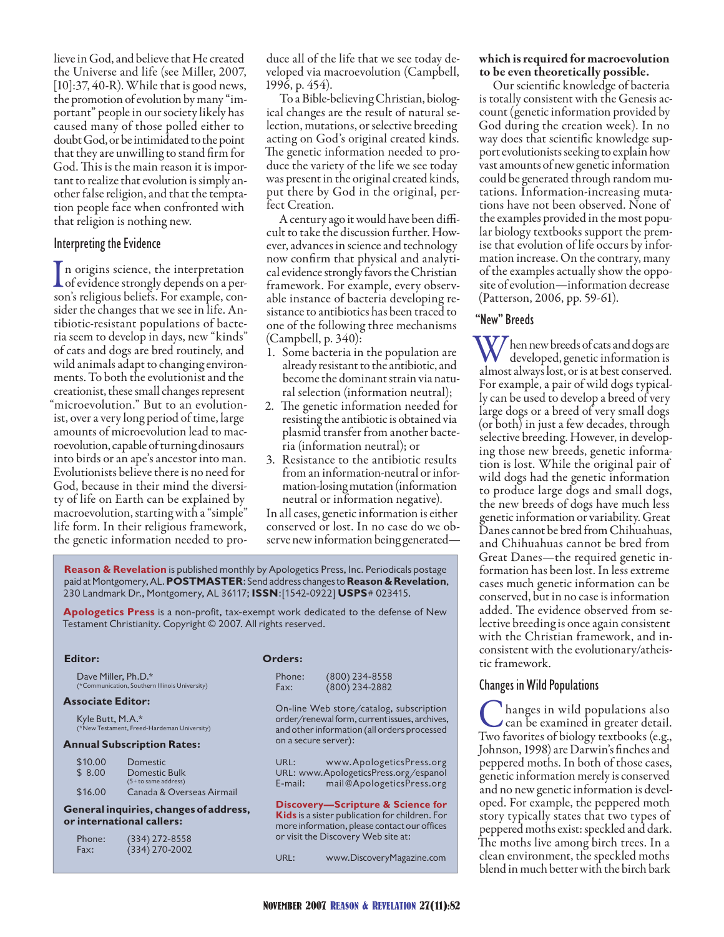lieve in God, and believe that He created the Universe and life (see Miller, 2007, [10]:37, 40-R). While that is good news, the promotion of evolution by many "important" people in our society likely has caused many of those polled either to doubt God, or be intimidated to the point that they are unwilling to stand firm for God. This is the main reason it is important to realize that evolution is simply another false religion, and that the temptation people face when confronted with that religion is nothing new.

#### Interpreting the Evidence

In origins science, the interpretation<br>of evidence strongly depends on a per-<br>con's religious beliefs. For example, conson's religious beliefs. For example, consider the changes that we see in life. Antibiotic-resistant populations of bacteria seem to develop in days, new "kinds" of cats and dogs are bred routinely, and wild animals adapt to changing environments. To both the evolutionist and the creationist, these small changes represent "microevolution." But to an evolutionist, over a very long period of time, large amounts of microevolution lead to macroevolution, capable of turning dinosaurs into birds or an ape's ancestor into man. Evolutionists believe there is no need for God, because in their mind the diversity of life on Earth can be explained by macroevolution, starting with a "simple" life form. In their religious framework, the genetic information needed to pro-

duce all of the life that we see today developed via macroevolution (Campbell, 1996, p. 454).

To a Bible-believing Christian, biological changes are the result of natural selection, mutations, or selective breeding acting on God's original created kinds. The genetic information needed to produce the variety of the life we see today was present in the original created kinds, put there by God in the original, perfect Creation.

A century ago it would have been difficult to take the discussion further. However, advances in science and technology now confirm that physical and analytical evidence strongly favors the Christian framework. For example, every observable instance of bacteria developing resistance to antibiotics has been traced to one of the following three mechanisms (Campbell, p. 340):

- 1. Some bacteria in the population are already resistant to the antibiotic, and become the dominant strain via natural selection (information neutral);
- 2. The genetic information needed for resisting the antibiotic is obtained via plasmid transfer from another bacteria (information neutral); or
- Resistance to the antibiotic results 3. from an information-neutral or information-losing mutation (information neutral or information negative).

In all cases, genetic information is either conserved or lost. In no case do we observe new information being generated—

**Reason & Revelation** is published monthly by Apologetics Press, Inc. Periodicals postage paid at Montgomery, AL. **Postmaster**: Send address changes to **Reason & Revelation**, 230 Landmark Dr., Montgomery, AL 36117; **issn**:[1542-0922] **usps**# 023415.

**Apologetics Press** is a non-profit, tax-exempt work dedicated to the defense of New Testament Christianity. Copyright © 2007. All rights reserved.

#### **Editor:**

Dave Miller, Ph.D.\* (\*Communication, Southern Illinois University)

#### **Associate Editor:**

Kyle Butt, M.A.\* (\*New Testament, Freed-Hardeman University)

#### **Annual Subscription Rates:**

| \$10.00 | <b>Domestic</b>           |
|---------|---------------------------|
| \$8.00  | Domestic Bulk             |
|         | $(5 +$ to same address)   |
| \$16.00 | Canada & Overseas Airmail |

#### **General inquiries, changes of address, or international callers:**

| Phone: | $(334)$ 272-8558 |  |
|--------|------------------|--|
| Fax:   | $(334)$ 270-2002 |  |

#### **Orders:**

| Phone: | $(800)$ 234-8558 |
|--------|------------------|
| Fax:   | $(800)$ 234-2882 |

On-line Web store/catalog, subscription order/renewal form, current issues, archives, and other information (all orders processed on a secure server):

URL: www.ApologeticsPress.org URL: www.ApologeticsPress.org/espanol E-mail: mail@ApologeticsPress.org

**Discovery—Scripture & Science for Kids** is a sister publication for children. For more information, please contact our offices or visit the Discovery Web site at:

URL: www.DiscoveryMagazine.com

#### which is required for macroevolution to be even theoretically possible.

Our scientific knowledge of bacteria is totally consistent with the Genesis account (genetic information provided by God during the creation week). In no way does that scientific knowledge support evolutionists seeking to explain how vast amounts of new genetic information could be generated through random mutations. Information-increasing mutations have not been observed. None of the examples provided in the most popular biology textbooks support the premise that evolution of life occurs by information increase. On the contrary, many of the examples actually show the opposite of evolution—information decrease (Patterson, 2006, pp. 59-61).

#### "New" Breeds

W/hen new breeds of cats and dogs are developed, genetic information is almost always lost, or is at best conserved. For example, a pair of wild dogs typically can be used to develop a breed of very large dogs or a breed of very small dogs (or both) in just a few decades, through selective breeding. However, in developing those new breeds, genetic information is lost. While the original pair of wild dogs had the genetic information to produce large dogs and small dogs, the new breeds of dogs have much less genetic information or variability. Great Danes cannot be bred from Chihuahuas, and Chihuahuas cannot be bred from Great Danes—the required genetic information has been lost. In less extreme cases much genetic information can be conserved, but in no case is information added. The evidence observed from selective breeding is once again consistent with the Christian framework, and inconsistent with the evolutionary/atheistic framework.

#### Changes in Wild Populations

C hanges in wild populations also<br>can be examined in greater detail. Two favorites of biology textbooks (e.g., Johnson, 1998) are Darwin's finches and peppered moths. In both of those cases, genetic information merely is conserved and no new genetic information is developed. For example, the peppered moth story typically states that two types of peppered moths exist: speckled and dark. The moths live among birch trees. In a clean environment, the speckled moths blend in much better with the birch bark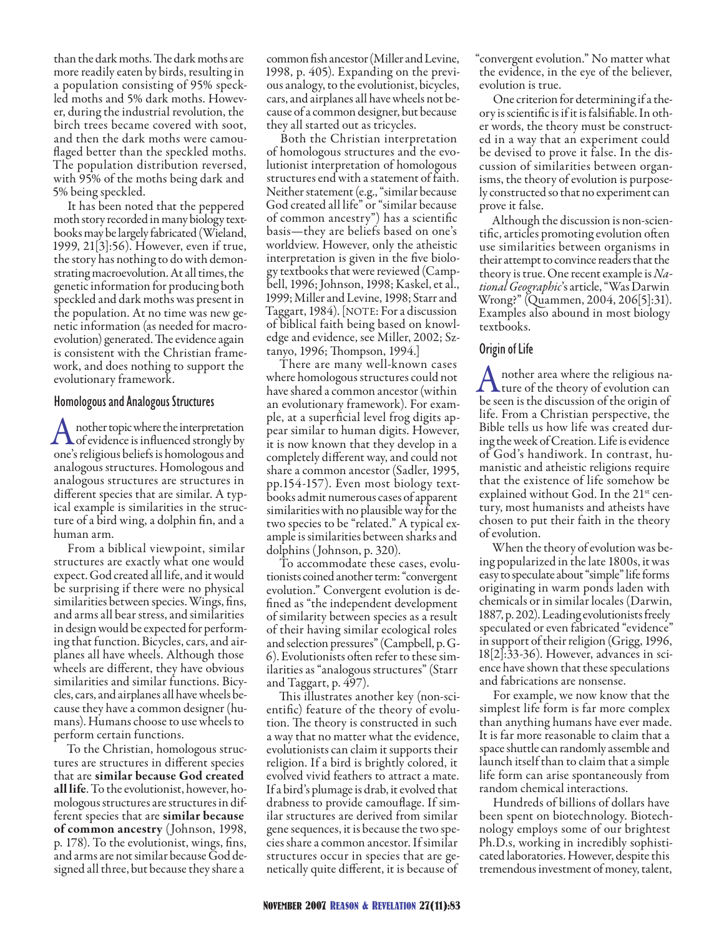than the dark moths. The dark moths are more readily eaten by birds, resulting in a population consisting of 95% speckled moths and 5% dark moths. However, during the industrial revolution, the birch trees became covered with soot, and then the dark moths were camouflaged better than the speckled moths. The population distribution reversed, with 95% of the moths being dark and 5% being speckled.

It has been noted that the peppered moth story recorded in many biology textbooks may be largely fabricated (Wieland, 1999, 21[3]:56). However, even if true, the story has nothing to do with demonstrating macroevolution. At all times, the genetic information for producing both speckled and dark moths was present in the population. At no time was new genetic information (as needed for macroevolution) generated. The evidence again is consistent with the Christian framework, and does nothing to support the evolutionary framework.

#### Homologous and Analogous Structures

A nother topic where the interpretation<br>of evidence is influenced strongly by<br>one's religious beliefs is bomologous and one's religious beliefs is homologous and analogous structures. Homologous and analogous structures are structures in different species that are similar. A typical example is similarities in the structure of a bird wing, a dolphin fin, and a human arm.

From a biblical viewpoint, similar structures are exactly what one would expect. God created all life, and it would be surprising if there were no physical similarities between species. Wings, fins, and arms all bear stress, and similarities in design would be expected for performing that function. Bicycles, cars, and airplanes all have wheels. Although those wheels are different, they have obvious similarities and similar functions. Bicycles, cars, and airplanes all have wheels because they have a common designer (humans). Humans choose to use wheels to perform certain functions.

To the Christian, homologous structures are structures in different species that are similar because God created all life. To the evolutionist, however, homologous structures are structures in different species that are similar because of common ancestry (Johnson, 1998, p. 178). To the evolutionist, wings, fins, and arms are not similar because God designed all three, but because they share a

common fish ancestor (Miller and Levine, 1998, p. 405). Expanding on the previous analogy, to the evolutionist, bicycles, cars, and airplanes all have wheels not because of a common designer, but because they all started out as tricycles.

Both the Christian interpretation of homologous structures and the evolutionist interpretation of homologous structures end with a statement of faith. Neither statement (e.g., "similar because God created all life" or "similar because of common ancestry") has a scientific basis—they are beliefs based on one's worldview. However, only the atheistic interpretation is given in the five biology textbooks that were reviewed (Campbell, 1996; Johnson, 1998; Kaskel, et al., 1999; Miller and Levine, 1998; Starr and Taggart, 1984). [NOTE: For a discussion of biblical faith being based on knowledge and evidence, see Miller, 2002; Sztanyo, 1996; Thompson, 1994.]

There are many well-known cases where homologous structures could not have shared a common ancestor (within an evolutionary framework). For example, at a superficial level frog digits appear similar to human digits. However, it is now known that they develop in a completely different way, and could not share a common ancestor (Sadler, 1995, pp.154-157). Even most biology textbooks admit numerous cases of apparent similarities with no plausible way for the two species to be "related." A typical example is similarities between sharks and dolphins (Johnson, p. 320).

To accommodate these cases, evolutionists coined another term: "convergent evolution." Convergent evolution is defined as "the independent development of similarity between species as a result of their having similar ecological roles and selection pressures" (Campbell, p. G-6). Evolutionists often refer to these similarities as "analogous structures" (Starr and Taggart, p. 497).

This illustrates another key (non-scientific) feature of the theory of evolution. The theory is constructed in such a way that no matter what the evidence, evolutionists can claim it supports their religion. If a bird is brightly colored, it evolved vivid feathers to attract a mate. If a bird's plumage is drab, it evolved that drabness to provide camouflage. If similar structures are derived from similar gene sequences, it is because the two species share a common ancestor. If similar structures occur in species that are genetically quite different, it is because of

"convergent evolution." No matter what the evidence, in the eye of the believer, evolution is true.

One criterion for determining if a theory is scientific is if it is falsifiable. In other words, the theory must be constructed in a way that an experiment could be devised to prove it false. In the discussion of similarities between organisms, the theory of evolution is purposely constructed so that no experiment can prove it false.

Although the discussion is non-scientific, articles promoting evolution often use similarities between organisms in their attempt to convince readers that the theory is true. One recent example is *National Geographic*'s article, "Was Darwin Wrong?" (Quammen, 2004, 206[5]:31). Examples also abound in most biology textbooks.

#### Origin of Life

A nother area where the religious na-<br>ture of the theory of evolution can<br>be seen is the discussion of the origin of be seen is the discussion of the origin of life. From a Christian perspective, the Bible tells us how life was created during the week of Creation. Life is evidence of God's handiwork. In contrast, humanistic and atheistic religions require that the existence of life somehow be explained without God. In the 21<sup>st</sup> century, most humanists and atheists have chosen to put their faith in the theory of evolution.

When the theory of evolution was being popularized in the late 1800s, it was easy to speculate about "simple" life forms originating in warm ponds laden with chemicals or in similar locales (Darwin, 1887, p. 202). Leading evolutionists freely speculated or even fabricated "evidence" in support of their religion (Grigg, 1996, 18[2]:33-36). However, advances in science have shown that these speculations and fabrications are nonsense.

For example, we now know that the simplest life form is far more complex than anything humans have ever made. It is far more reasonable to claim that a space shuttle can randomly assemble and launch itself than to claim that a simple life form can arise spontaneously from random chemical interactions.

Hundreds of billions of dollars have been spent on biotechnology. Biotechnology employs some of our brightest Ph.D.s, working in incredibly sophisticated laboratories. However, despite this tremendous investment of money, talent,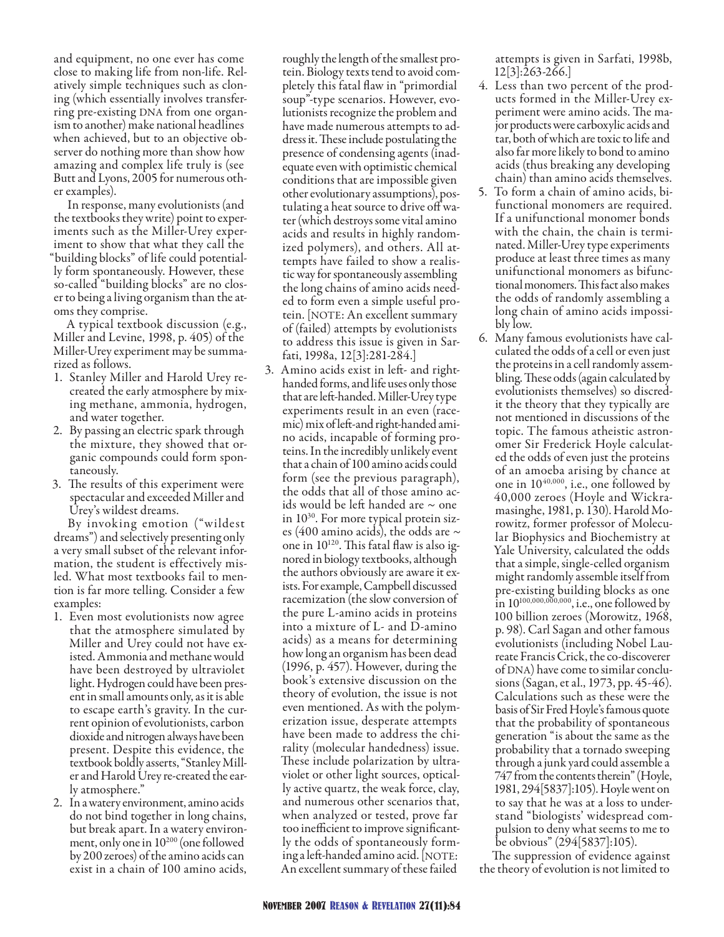and equipment, no one ever has come close to making life from non-life. Relatively simple techniques such as cloning (which essentially involves transferring pre-existing DNA from one organism to another) make national headlines when achieved, but to an objective observer do nothing more than show how amazing and complex life truly is (see Butt and Lyons, 2005 for numerous other examples).

In response, many evolutionists (and the textbooks they write) point to experiments such as the Miller-Urey experiment to show that what they call the "building blocks" of life could potentially form spontaneously. However, these so-called "building blocks" are no closer to being a living organism than the atoms they comprise.

A typical textbook discussion (e.g., Miller and Levine, 1998, p. 405) of the Miller-Urey experiment may be summarized as follows.

- 1. Stanley Miller and Harold Urey recreated the early atmosphere by mixing methane, ammonia, hydrogen, and water together.
- 2. By passing an electric spark through the mixture, they showed that organic compounds could form spontaneously.
- 3. The results of this experiment were spectacular and exceeded Miller and Urey's wildest dreams.

By invoking emotion ("wildest dreams") and selectively presenting only a very small subset of the relevant information, the student is effectively misled. What most textbooks fail to mention is far more telling. Consider a few examples:

- 1. Even most evolutionists now agree that the atmosphere simulated by Miller and Urey could not have existed. Ammonia and methane would have been destroyed by ultraviolet light. Hydrogen could have been present in small amounts only, as it is able to escape earth's gravity. In the current opinion of evolutionists, carbon dioxide and nitrogen always have been present. Despite this evidence, the textbook boldly asserts, "Stanley Miller and Harold Urey re-created the early atmosphere."
- 2. In a watery environment, amino acids do not bind together in long chains, but break apart. In a watery environment, only one in 10<sup>200</sup> (one followed by 200 zeroes) of the amino acids can exist in a chain of 100 amino acids,

roughly the length of the smallest protein. Biology texts tend to avoid completely this fatal flaw in "primordial soup"-type scenarios. However, evolutionists recognize the problem and have made numerous attempts to address it. These include postulating the presence of condensing agents (inadequate even with optimistic chemical conditions that are impossible given other evolutionary assumptions), postulating a heat source to drive off water (which destroys some vital amino acids and results in highly randomized polymers), and others. All attempts have failed to show a realistic way for spontaneously assembling the long chains of amino acids needed to form even a simple useful protein. [NOTE: An excellent summary of (failed) attempts by evolutionists to address this issue is given in Sarfati, 1998a, 12[3]:281-284.]

Amino acids exist in left- and right-3. handed forms, and life uses only those that are left-handed. Miller-Urey type experiments result in an even (racemic) mix of left-and right-handed amino acids, incapable of forming proteins. In the incredibly unlikely event that a chain of 100 amino acids could form (see the previous paragraph), the odds that all of those amino acids would be left handed are  $\sim$  one in 1030. For more typical protein sizes (400 amino acids), the odds are  $\sim$ one in 10120. This fatal flaw is also ignored in biology textbooks, although the authors obviously are aware it exists. For example, Campbell discussed racemization (the slow conversion of the pure L-amino acids in proteins into a mixture of L- and D-amino acids) as a means for determining how long an organism has been dead (1996, p. 457). However, during the book's extensive discussion on the theory of evolution, the issue is not even mentioned. As with the polymerization issue, desperate attempts have been made to address the chirality (molecular handedness) issue. These include polarization by ultraviolet or other light sources, optically active quartz, the weak force, clay, and numerous other scenarios that, when analyzed or tested, prove far too inefficient to improve significantly the odds of spontaneously forming a left-handed amino acid. [NOTE: An excellent summary of these failed

attempts is given in Sarfati, 1998b, 12[3]:263-266.]

- Less than two percent of the prod-4. ucts formed in the Miller-Urey experiment were amino acids. The major products were carboxylic acids and tar, both of which are toxic to life and also far more likely to bond to amino acids (thus breaking any developing chain) than amino acids themselves.
- To form a chain of amino acids, bi-5. functional monomers are required. If a unifunctional monomer bonds with the chain, the chain is terminated. Miller-Urey type experiments produce at least three times as many unifunctional monomers as bifunctional monomers. This fact also makes the odds of randomly assembling a long chain of amino acids impossibly low.
- Many famous evolutionists have cal-6. culated the odds of a cell or even just the proteins in a cell randomly assembling. These odds (again calculated by evolutionists themselves) so discredit the theory that they typically are not mentioned in discussions of the topic. The famous atheistic astronomer Sir Frederick Hoyle calculated the odds of even just the proteins of an amoeba arising by chance at one in  $10^{40,000}$ , i.e., one followed by 40,000 zeroes (Hoyle and Wickramasinghe, 1981, p. 130). Harold Morowitz, former professor of Molecular Biophysics and Biochemistry at Yale University, calculated the odds that a simple, single-celled organism might randomly assemble itself from pre-existing building blocks as one in  $10^{100,000,000,000}$ , i.e., one followed by 100 billion zeroes (Morowitz, 1968, p. 98). Carl Sagan and other famous evolutionists (including Nobel Laureate Francis Crick, the co-discoverer of DNA) have come to similar conclusions (Sagan, et al., 1973, pp. 45-46). Calculations such as these were the basis of Sir Fred Hoyle's famous quote that the probability of spontaneous generation "is about the same as the probability that a tornado sweeping through a junk yard could assemble a 747 from the contents therein" (Hoyle, 1981, 294[5837]:105). Hoyle went on to say that he was at a loss to understand "biologists' widespread compulsion to deny what seems to me to be obvious" (294[5837]:105).

The suppression of evidence against the theory of evolution is not limited to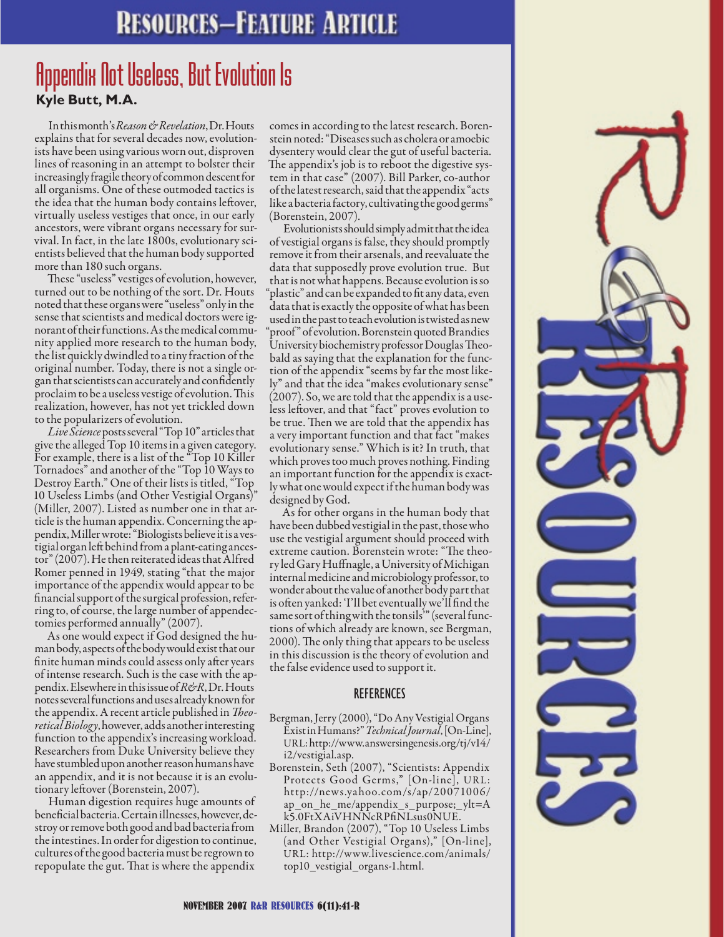## **RESOURCES-FEATURE ARTICLE**

## **Kyle Butt, M.A.** Appendix Not Useless, But Evolution Is

In this month's *Reason & Revelation*, Dr. Houts explains that for several decades now, evolutionists have been using various worn out, disproven lines of reasoning in an attempt to bolster their increasingly fragile theory of common descent for all organisms. One of these outmoded tactics is the idea that the human body contains leftover, virtually useless vestiges that once, in our early ancestors, were vibrant organs necessary for survival. In fact, in the late 1800s, evolutionary scientists believed that the human body supported more than 180 such organs.

These "useless" vestiges of evolution, however, turned out to be nothing of the sort. Dr. Houts noted that these organs were "useless" only in the sense that scientists and medical doctors were ignorant of their functions. As the medical community applied more research to the human body, the list quickly dwindled to a tiny fraction of the original number. Today, there is not a single organ that scientists can accurately and confidently proclaim to be a useless vestige of evolution. This realization, however, has not yet trickled down to the popularizers of evolution.

*Live Science* posts several "Top 10" articles that give the alleged Top 10 items in a given category. For example, there is a list of the "Top 10 Killer Tornadoes" and another of the "Top 10 Ways to Destroy Earth." One of their lists is titled, "Top 10 Useless Limbs (and Other Vestigial Organs)" (Miller, 2007). Listed as number one in that article is the human appendix. Concerning the appendix, Miller wrote: "Biologists believe it is a vestigial organ left behind from a plant-eating ancestor" (2007). He then reiterated ideas that Alfred Romer penned in 1949, stating "that the major importance of the appendix would appear to be financial support of the surgical profession, referring to, of course, the large number of appendectomies performed annually" (2007).

As one would expect if God designed the human body, aspects of the body would exist that our finite human minds could assess only after years of intense research. Such is the case with the appendix. Elsewhere in this issue of *R&R*, Dr. Houts notes several functions and uses already known for the appendix. A recent article published in *Theoretical Biology*, however, adds another interesting function to the appendix's increasing workload. Researchers from Duke University believe they have stumbled upon another reason humans have an appendix, and it is not because it is an evolutionary leftover (Borenstein, 2007).

Human digestion requires huge amounts of beneficial bacteria. Certain illnesses, however, destroy or remove both good and bad bacteria from the intestines. In order for digestion to continue, cultures of the good bacteria must be regrown to repopulate the gut. That is where the appendix

comes in according to the latest research. Borenstein noted: "Diseases such as cholera or amoebic dysentery would clear the gut of useful bacteria. The appendix's job is to reboot the digestive system in that case" (2007). Bill Parker, co-author of the latest research, said that the appendix "acts like a bacteria factory, cultivating the good germs" (Borenstein, 2007).

Evolutionists should simply admit that the idea of vestigial organs is false, they should promptly remove it from their arsenals, and reevaluate the data that supposedly prove evolution true. But that is not what happens. Because evolution is so "plastic" and can be expanded to fit any data, even data that is exactly the opposite of what has been used in the past to teach evolution is twisted as new proof" of evolution. Borenstein quoted Brandies University biochemistry professor Douglas Theobald as saying that the explanation for the function of the appendix "seems by far the most likely" and that the idea "makes evolutionary sense" (2007). So, we are told that the appendix is a useless leftover, and that "fact" proves evolution to be true. Then we are told that the appendix has a very important function and that fact "makes evolutionary sense." Which is it? In truth, that which proves too much proves nothing. Finding an important function for the appendix is exactly what one would expect if the human body was designed by God.

As for other organs in the human body that have been dubbed vestigial in the past, those who use the vestigial argument should proceed with extreme caution. Borenstein wrote: "The theory led Gary Huffnagle, a University of Michigan internal medicine and microbiology professor, to wonder about the value of another body part that is often yanked: 'I'll bet eventually we'll find the same sort of thing with the tonsils'" (several functions of which already are known, see Bergman, 2000). The only thing that appears to be useless in this discussion is the theory of evolution and the false evidence used to support it.

#### **REFERENCES**

- Bergman, Jerry (2000), "Do Any Vestigial Organs Exist in Humans?" *Technical Journal*, [On-Line], URL: http://www.answersingenesis.org/tj/v14/ i2/vestigial.asp.
- Borenstein, Seth (2007), "Scientists: Appendix Protects Good Germs," [On-line], URL: http://news.yahoo.com/s/ap/20071006/ ap\_on\_he\_me/appendix\_s\_purpose;\_ylt=A k5.0FtXAiVHNNcRPfiNLsus0NUE.
- Miller, Brandon (2007), "Top 10 Useless Limbs (and Other Vestigial Organs)," [On-line], URL: http://www.livescience.com/animals/ top10\_vestigial\_organs-1.html.

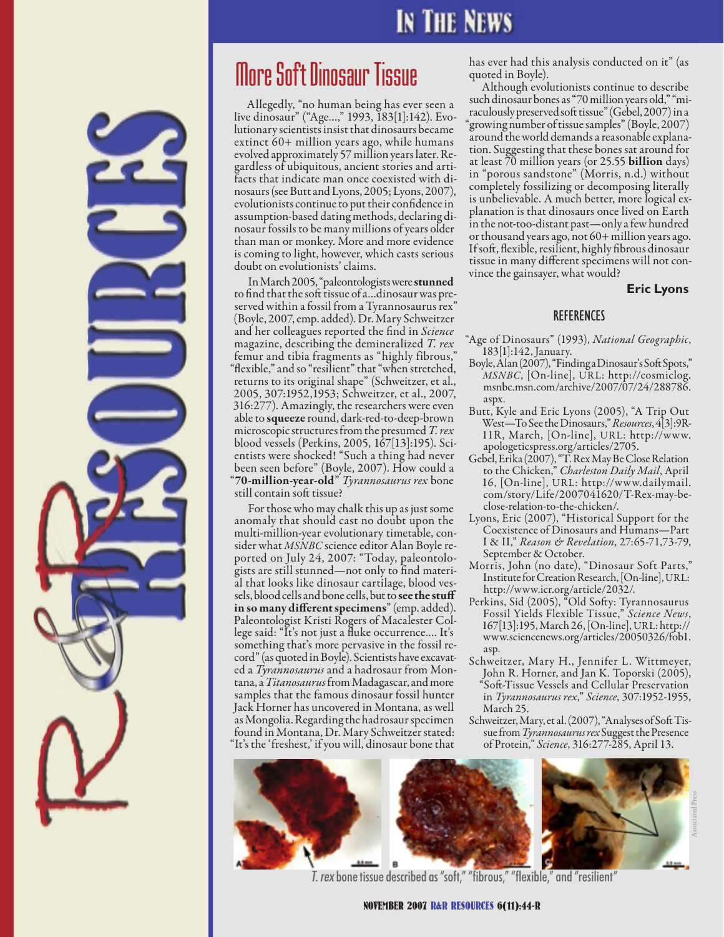## **IN THE NEWS**

# More Soft Dinosaur Tissue

Allegedly, "no human being has ever seen a live dinosaur" ("Age…," 1993, 183[1]:142). Evo- lutionary scientists insist that dinosaurs became extinct 60+ million years ago, while humans<br>evolved approximately 57 million years later. Regardless of ubiquitous, ancient stories and arti-<br>facts that indicate man once coexisted with di-<br>nosaurs (see Butt and Lyons, 2005; Lyons, 2007), evolutionists continue to put their confidence in nosaur fossils to be many millions of years older than man or monkey. More and more evidence is coming to light, however, which casts serious doubt on evolutionists' claims.

In March 2005, "paleontologists were **stunned**<br>to find that the soft tissue of a...dinosaur was preserved within a fossil from a Tyrannosaurus rex" (Boyle, 2007, emp. added). Dr. Mary Schweitzer and her colleagues reported the find in *Science*  magazine, describing the demineralized *T. rex* femur and tibia fragments as "highly fibrous," "flexible," and so "resilient" that "when stretched, returns to its original shape" (Schweitzer, et al., 2005, 307:1952,1953; Schweitzer, et al., 2007, 316:277). Amazingly, the researchers were even able to squeeze round, dark-red-to-deep-brown microscopic structures from the presumed *T. rex* blood vessels (Perkins, 2005, 167[13]:195). Sci- entists were shocked! "Such a thing had never been seen before" (Boyle, 2007). How could a "70-million-year-old" *Tyrannosaurus rex* bone still contain soft tissue?

For those who may chalk this up as just some anomaly that should cast no doubt upon the<br>multi-million-year evolutionary timetable, consider what *MSNBC* science editor Alan Boyle reported on July 24, 2007: "Today, paleontologists are still stunned—not only to find material that looks like dinosaur cartilage, blood vessels, blood cells and bone cells, but to see the stuff in so many different specimens" (emp. added). Paleontologist Kristi Rogers of Macalester College said: "It's not just a fluke occurrence…. It's something that's more pervasive in the fossil record" (as quoted in Boyle). Scientists have excavated a *Tyrannosaurus* and a hadrosaur from Montana, a *Titanosaurus* from Madagascar, and more samples that the famous dinosaur fossil hunter Jack Horner has uncovered in Montana, as well as Mongolia. Regarding the hadrosaur specimen found in Montana, Dr. Mary Schweitzer stated: "It's the 'freshest,' if you will, dinosaur bone that

has ever had this analysis conducted on it" (as quoted in Boyle).

Although evolutionists continue to describe such dinosaur bones as "70 million years old," "miraculously preserved soft tissue" (Gebel, 2007) in a "growing number of tissue samples" (Boyle, 2007) around the world demands a reasonable explanation. Suggesting that these bones sat around for at least  $\bar{70}$  million years (or 25.55 **billion** days) in "porous sandstone" (Morris, n.d.) without completely fossilizing or decomposing literally planation is that dinosaurs once lived on Earth in the not-too-distant past—only a few hundred or thousand years ago, not 60+ million years ago. If soft, flexible, resilient, highly fibrous dinosaur tissue in many different specimens will not con- vince the gainsayer, what would?

#### **Eric Lyons**

#### REFERENCES

- "Age of Dinosaurs" (1993), *National Geographic*, 183[1]:142, January.
- Boyle, Alan (2007), "Finding a Dinosaur's Soft Spots," *MSNBC*, [On-line], URL: http://cosmiclog. msnbc.msn.com/archive/2007/07/24/288786. aspx.
- Butt, Kyle and Eric Lyons (2005), "A Trip Out West—To See the Dinosaurs," *Resources*, 4[3]:9R-11R, March, [On-line], URL: http://www. apologeticspress.org/articles/2705.
- Gebel, Erika (2007), "T. Rex May Be Close Relation to the Chicken," *Charleston Daily Mail*, April 16, [On-line], URL: http://www.dailymail. com/story/Life/2007041620/T-Rex-may-beclose-relation-to-the-chicken/.
- Lyons, Eric (2007), "Historical Support for the Coexistence of Dinosaurs and Humans—Part I & II," *Reason & Revelation*, 27:65-71,73-79, September & October.
- Morris, John (no date), "Dinosaur Soft Parts," Institute for Creation Research, [On-line], URL: http://www.icr.org/article/2032/.
- Perkins, Sid (2005), "Old Softy: Tyrannosaurus Fossil Yields Flexible Tissue," *Science News*, 167[13]:195, March 26, [On-line], URL: http:// www.sciencenews.org/articles/20050326/fob1. asp.
- Schweitzer, Mary H., Jennifer L. Wittmeyer, John R. Horner, and Jan K. Toporski (2005), "Soft-Tissue Vessels and Cellular Preservation in *Tyrannosaurus rex*," *Science*, 307:1952-1955, March 25.
- Schweitzer, Mary, et al. (2007), "Analyses of Soft Tissue from *Tyrannosaurus rex* Suggest the Presence of Protein," *Science*, 316:277-285, April 13.



*T. rex* bone tissue described as "soft," "fibrous," "flexible," and "resilient"

November 2007 R&R Resources 6(11):44-R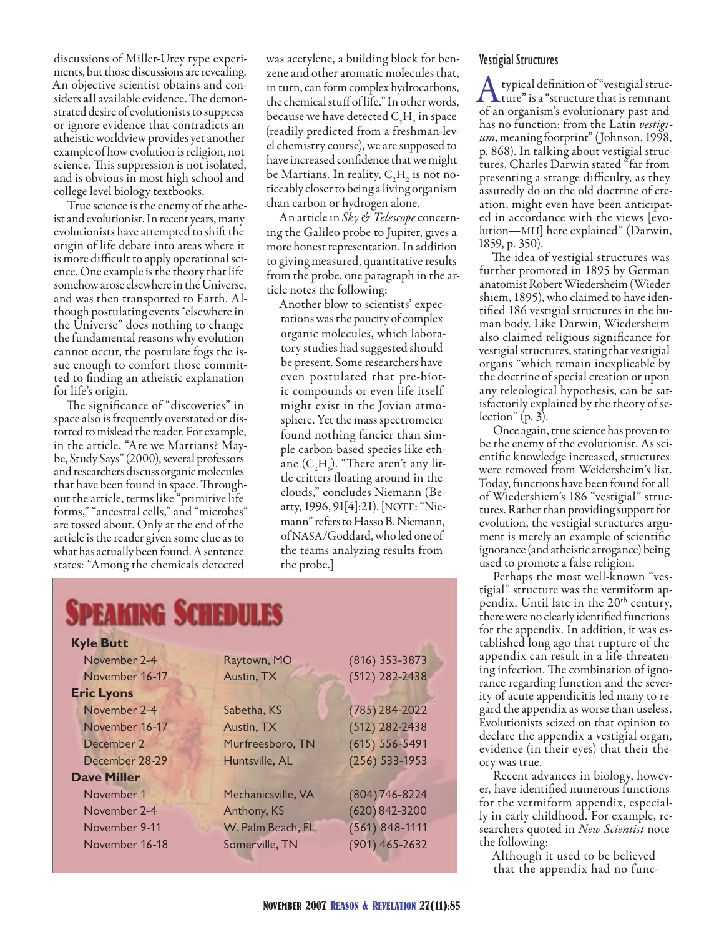discussions of Miller-Urey type experiments, but those discussions are revealing. An objective scientist obtains and considers all available evidence. The demonstrated desire of evolutionists to suppress or ignore evidence that contradicts an atheistic worldview provides yet another example of how evolution is religion, not science. This suppression is not isolated, and is obvious in most high school and college level biology textbooks.

True science is the enemy of the atheist and evolutionist. In recent years, many evolutionists have attempted to shift the origin of life debate into areas where it is more difficult to apply operational science. One example is the theory that life somehow arose elsewhere in the Universe, and was then transported to Earth. Although postulating events "elsewhere in the Universe" does nothing to change the fundamental reasons why evolution cannot occur, the postulate fogs the issue enough to comfort those committed to finding an atheistic explanation for life's origin.

The significance of "discoveries" in space also is frequently overstated or distorted to mislead the reader. For example, in the article, "Are we Martians? Maybe, Study Says" (2000), several professors and researchers discuss organic molecules that have been found in space. Throughout the article, terms like "primitive life forms," "ancestral cells," and "microbes" are tossed about. Only at the end of the article is the reader given some clue as to what has actually been found. A sentence states: "Among the chemicals detected

was acetylene, a building block for benzene and other aromatic molecules that, in turn, can form complex hydrocarbons, the chemical stuff of life." In other words, because we have detected  $C_2H_2$  in space (readily predicted from a freshman-level chemistry course), we are supposed to have increased confidence that we might be Martians. In reality,  $\text{C}_2\text{H}_2^{\text{}}$  is not noticeably closer to being a living organism than carbon or hydrogen alone.

An article in *Sky & Telescope* concerning the Galileo probe to Jupiter, gives a more honest representation. In addition to giving measured, quantitative results from the probe, one paragraph in the article notes the following:

Another blow to scientists' expectations was the paucity of complex organic molecules, which laboratory studies had suggested should be present. Some researchers have even postulated that pre-biotic compounds or even life itself might exist in the Jovian atmosphere. Yet the mass spectrometer found nothing fancier than simple carbon-based species like ethane  $(C_2H_6)$ . "There aren't any little critters floating around in the clouds," concludes Niemann (Beatty, 1996, 91[4]:21). [NOTE: "Niemann" refers to Hasso B. Niemann, of NASA/Goddard, who led one of the teams analyzing results from the probe.]

| SPEAKING SCHEDULES |                    |                    |  |  |  |  |
|--------------------|--------------------|--------------------|--|--|--|--|
| <b>Kyle Butt</b>   |                    |                    |  |  |  |  |
| November 2-4       | Raytown, MO        | $(816)$ 353-3873   |  |  |  |  |
| November 16-17     | Austin, TX         | (512) 282-2438     |  |  |  |  |
| <b>Eric Lyons</b>  |                    |                    |  |  |  |  |
| November 2-4       | Sabetha, KS        | $(785)$ 284-2022   |  |  |  |  |
| November 16-17     | Austin, TX         | $(512)$ 282-2438   |  |  |  |  |
| December 2         | Murfreesboro, TN   | $(615) 556 - 5491$ |  |  |  |  |
| December 28-29     | Huntsville, AL     | $(256) 533-1953$   |  |  |  |  |
| <b>Dave Miller</b> |                    |                    |  |  |  |  |
| November 1         | Mechanicsville, VA | $(804)$ 746-8224   |  |  |  |  |
| November 2-4       | Anthony, KS        | $(620) 842 - 3200$ |  |  |  |  |
| November 9-11      | W. Palm Beach, FL  | $(561) 848 - 1111$ |  |  |  |  |
| November 16-18     | Somerville, TN     | $(901) 465 - 2632$ |  |  |  |  |

#### Vestigial Structures

A typical definition of "vestigial struc-<br>ture" is a "structure that is remnant of an organism's evolutionary past and has no function; from the Latin *vestigium*, meaning footprint" (Johnson, 1998, p. 868). In talking about vestigial structures, Charles Darwin stated "far from presenting a strange difficulty, as they assuredly do on the old doctrine of creation, might even have been anticipated in accordance with the views [evolution—MH] here explained" (Darwin, 1859, p. 350).

The idea of vestigial structures was further promoted in 1895 by German anatomist Robert Wiedersheim (Wiedershiem, 1895), who claimed to have identified 186 vestigial structures in the human body. Like Darwin, Wiedersheim also claimed religious significance for vestigial structures, stating that vestigial organs "which remain inexplicable by the doctrine of special creation or upon any teleological hypothesis, can be satisfactorily explained by the theory of selection" (p. 3).

Once again, true science has proven to be the enemy of the evolutionist. As scientific knowledge increased, structures were removed from Weidersheim's list. Today, functions have been found for all of Wiedershiem's 186 "vestigial" structures. Rather than providing support for evolution, the vestigial structures argument is merely an example of scientific ignorance (and atheistic arrogance) being used to promote a false religion.

Perhaps the most well-known "vestigial" structure was the vermiform appendix. Until late in the 20<sup>th</sup> century, there were no clearly identified functions for the appendix. In addition, it was established long ago that rupture of the appendix can result in a life-threatening infection. The combination of ignorance regarding function and the severity of acute appendicitis led many to regard the appendix as worse than useless. Evolutionists seized on that opinion to declare the appendix a vestigial organ, evidence (in their eyes) that their theory was true.

Recent advances in biology, however, have identified numerous functions for the vermiform appendix, especially in early childhood. For example, researchers quoted in *New Scientist* note the following:

Although it used to be believed that the appendix had no func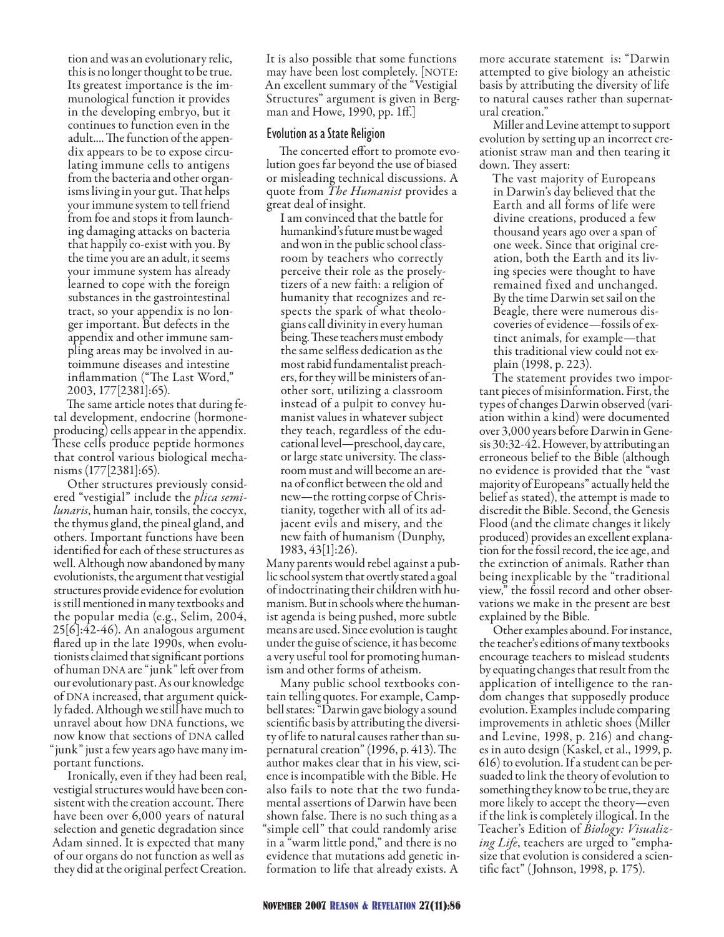tion and was an evolutionary relic, this is no longer thought to be true. Its greatest importance is the immunological function it provides in the developing embryo, but it continues to function even in the adult.... The function of the appendix appears to be to expose circulating immune cells to antigens from the bacteria and other organisms living in your gut. That helps your immune system to tell friend from foe and stops it from launching damaging attacks on bacteria that happily co-exist with you. By the time you are an adult, it seems your immune system has already learned to cope with the foreign substances in the gastrointestinal tract, so your appendix is no longer important. But defects in the appendix and other immune sampling areas may be involved in autoimmune diseases and intestine inflammation ("The Last Word," 2003, 177[2381]:65).

The same article notes that during fetal development, endocrine (hormoneproducing) cells appear in the appendix. These cells produce peptide hormones that control various biological mechanisms (177[2381]:65).

Other structures previously considered "vestigial" include the *plica semilunaris*, human hair, tonsils, the coccyx, the thymus gland, the pineal gland, and others. Important functions have been identified for each of these structures as well. Although now abandoned by many evolutionists, the argument that vestigial structures provide evidence for evolution is still mentioned in many textbooks and the popular media (e.g., Selim, 2004, 25[6]:42-46). An analogous argument flared up in the late 1990s, when evolutionists claimed that significant portions of human DNA are "junk" left over from our evolutionary past. As our knowledge of DNA increased, that argument quickly faded. Although we still have much to unravel about how DNA functions, we now know that sections of DNA called "junk" just a few years ago have many important functions.

Ironically, even if they had been real, vestigial structures would have been consistent with the creation account. There have been over 6,000 years of natural selection and genetic degradation since Adam sinned. It is expected that many of our organs do not function as well as they did at the original perfect Creation.

It is also possible that some functions may have been lost completely. [NOTE: An excellent summary of the "Vestigial Structures" argument is given in Bergman and Howe, 1990, pp. 1ff.]

#### Evolution as a State Religion

The concerted effort to promote evolution goes far beyond the use of biased or misleading technical discussions. A quote from *The Humanist* provides a great deal of insight.

I am convinced that the battle for humankind's future must be waged and won in the public school classroom by teachers who correctly perceive their role as the proselytizers of a new faith: a religion of humanity that recognizes and respects the spark of what theologians call divinity in every human being. These teachers must embody the same selfless dedication as the most rabid fundamentalist preachers, for they will be ministers of another sort, utilizing a classroom instead of a pulpit to convey humanist values in whatever subject they teach, regardless of the educational level—preschool, day care, or large state university. The classroom must and will become an arena of conflict between the old and new—the rotting corpse of Christianity, together with all of its adjacent evils and misery, and the new faith of humanism (Dunphy, 1983, 43[1]:26).

Many parents would rebel against a public school system that overtly stated a goal of indoctrinating their children with humanism. But in schools where the humanist agenda is being pushed, more subtle means are used. Since evolution is taught under the guise of science, it has become a very useful tool for promoting humanism and other forms of atheism.

Many public school textbooks contain telling quotes. For example, Campbell states: "Darwin gave biology a sound scientific basis by attributing the diversity of life to natural causes rather than supernatural creation" (1996, p. 413). The author makes clear that in his view, science is incompatible with the Bible. He also fails to note that the two fundamental assertions of Darwin have been shown false. There is no such thing as a "simple cell" that could randomly arise in a "warm little pond," and there is no evidence that mutations add genetic information to life that already exists. A

more accurate statement is: "Darwin attempted to give biology an atheistic basis by attributing the diversity of life to natural causes rather than supernatural creation.'

Miller and Levine attempt to support evolution by setting up an incorrect creationist straw man and then tearing it down. They assert:

The vast majority of Europeans in Darwin's day believed that the Earth and all forms of life were divine creations, produced a few thousand years ago over a span of one week. Since that original creation, both the Earth and its living species were thought to have remained fixed and unchanged. By the time Darwin set sail on the Beagle, there were numerous discoveries of evidence—fossils of extinct animals, for example—that this traditional view could not explain (1998, p. 223).

The statement provides two important pieces of misinformation. First, the types of changes Darwin observed (variation within a kind) were documented over 3,000 years before Darwin in Genesis 30:32-42. However, by attributing an erroneous belief to the Bible (although no evidence is provided that the "vast majority of Europeans" actually held the belief as stated), the attempt is made to discredit the Bible. Second, the Genesis Flood (and the climate changes it likely produced) provides an excellent explanation for the fossil record, the ice age, and the extinction of animals. Rather than being inexplicable by the "traditional view," the fossil record and other observations we make in the present are best explained by the Bible.

Other examples abound. For instance, the teacher's editions of many textbooks encourage teachers to mislead students by equating changes that result from the application of intelligence to the random changes that supposedly produce evolution. Examples include comparing improvements in athletic shoes (Miller and Levine, 1998, p. 216) and changes in auto design (Kaskel, et al., 1999, p. 616) to evolution. If a student can be persuaded to link the theory of evolution to something they know to be true, they are more likely to accept the theory—even if the link is completely illogical. In the Teacher's Edition of *Biology: Visualizing Life*, teachers are urged to "emphasize that evolution is considered a scientific fact" (Johnson, 1998, p. 175).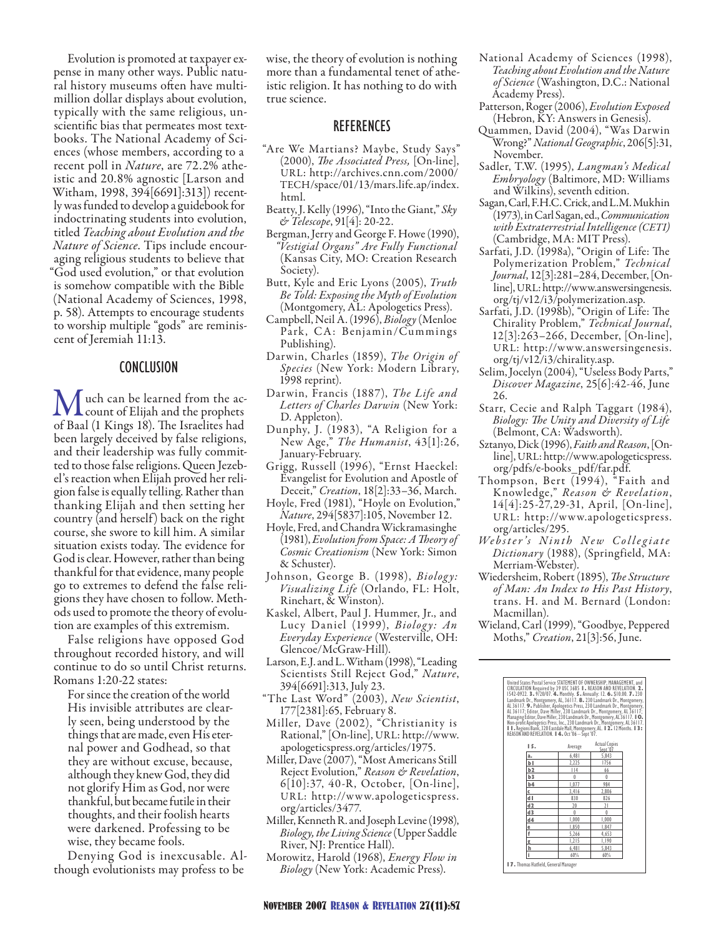Evolution is promoted at taxpayer expense in many other ways. Public natural history museums often have multimillion dollar displays about evolution, typically with the same religious, unscientific bias that permeates most textbooks. The National Academy of Sciences (whose members, according to a recent poll in *Nature*, are 72.2% atheistic and 20.8% agnostic [Larson and Witham, 1998, 394[6691]:313]) recently was funded to develop a guidebook for indoctrinating students into evolution, titled *Teaching about Evolution and the Nature of Science*. Tips include encouraging religious students to believe that "God used evolution," or that evolution is somehow compatible with the Bible (National Academy of Sciences, 1998, p. 58). Attempts to encourage students to worship multiple "gods" are reminiscent of Jeremiah 11:13.

#### Conclusion

Much can be learned from the ac-<br>count of Elijah and the prophets<br>of Beel (1 Kings 18). The Israelites had of Baal (1 Kings 18). The Israelites had been largely deceived by false religions, and their leadership was fully committed to those false religions. Queen Jezebel's reaction when Elijah proved her religion false is equally telling. Rather than thanking Elijah and then setting her country (and herself) back on the right course, she swore to kill him. A similar situation exists today. The evidence for God is clear. However, rather than being thankful for that evidence, many people go to extremes to defend the false religions they have chosen to follow. Methods used to promote the theory of evolution are examples of this extremism.

False religions have opposed God throughout recorded history, and will continue to do so until Christ returns. Romans 1:20-22 states:

For since the creation of the world His invisible attributes are clearly seen, being understood by the things that are made, even His eternal power and Godhead, so that they are without excuse, because, although they knew God, they did not glorify Him as God, nor were thankful, but became futile in their thoughts, and their foolish hearts were darkened. Professing to be wise, they became fools.

Denying God is inexcusable. Although evolutionists may profess to be

wise, the theory of evolution is nothing more than a fundamental tenet of atheistic religion. It has nothing to do with true science.

#### **REFERENCES**

- "Are We Martians? Maybe, Study Says" (2000), *The Associated Press,* [On-line], URL: http://archives.cnn.com/2000/ TECH/space/01/13/mars.life.ap/index. html.
- Beatty, J. Kelly (1996), "Into the Giant," *Sky & Telescope*, 91[4]: 20-22.
- Bergman, Jerry and George F. Howe (1990), *"Vestigial Organs" Are Fully Functional* (Kansas City, MO: Creation Research Society).
- Butt, Kyle and Eric Lyons (2005), *Truth Be Told: Exposing the Myth of Evolution* (Montgomery, AL: Apologetics Press).
- Campbell, Neil A. (1996), *Biology* (Menloe Park, CA: Benjamin/Cummings Publishing).
- Darwin, Charles (1859), *The Origin of Species* (New York: Modern Library, 1998 reprint).
- Darwin, Francis (1887), *The Life and Letters of Charles Darwin* (New York: D. Appleton).
- Dunphy, J. (1983), "A Religion for a New Age," *The Humanist*, 43[1]:26, January-February.
- Grigg, Russell (1996), "Ernst Haeckel: Evangelist for Evolution and Apostle of Deceit," *Creation*, 18[2]:33–36, March.
- Hoyle, Fred (1981), "Hoyle on Evolution," *Nature*, 294[5837]:105, November 12.
- Hoyle, Fred, and Chandra Wickramasinghe (1981), *Evolution from Space: A Theory of Cosmic Creationism* (New York: Simon & Schuster).
- Johnson, George B. (1998), *Biology: Visualizing Life* (Orlando, FL: Holt, Rinehart, & Winston).
- Kaskel, Albert, Paul J. Hummer, Jr., and Lucy Daniel (1999), *Biology: An Everyday Experience* (Westerville, OH: Glencoe/McGraw-Hill).
- Larson, E.J. and L. Witham (1998), "Leading Scientists Still Reject God," *Nature*, 394[6691]:313, July 23.
- "The Last Word" (2003), *New Scientist*, 177[2381]:65, February 8.
- Miller, Dave (2002), "Christianity is Rational," [On-line], URL: http://www. apologeticspress.org/articles/1975.
- Miller, Dave (2007), "Most Americans Still Reject Evolution," *Reason & Revelation*, 6[10]:37, 40-R, October, [On-line], URL: http://www.apologeticspress. org/articles/3477.
- Miller, Kenneth R. and Joseph Levine (1998), *Biology, the Living Science* (Upper Saddle River, NJ: Prentice Hall).
- Morowitz, Harold (1968), *Energy Flow in Biology* (New York: Academic Press).
- National Academy of Sciences (1998), *Teaching about Evolution and the Nature of Science* (Washington, D.C.: National Academy Press).
- Patterson, Roger (2006), *Evolution Exposed* (Hebron, KY: Answers in Genesis).
- Quammen, David (2004), "Was Darwin Wrong?" *National Geographic*, 206[5]:31, November.
- Sadler, T.W. (1995), *Langman's Medical Embryology* (Baltimore, MD: Williams and Wilkins), seventh edition.
- Sagan, Carl, F.H.C. Crick, and L.M. Mukhin (1973), in Carl Sagan, ed., *Communication with Extraterrestrial Intelligence (CETI)* (Cambridge, MA: MIT Press).
- Sarfati, J.D. (1998a), "Origin of Life: The Polymerization Problem," *Technical Journal*, 12[3]:281–284, December, [Online], URL: http://www.answersingenesis. org/tj/v12/i3/polymerization.asp.
- Sarfati, J.D. (1998b), "Origin of Life: The Chirality Problem," *Technical Journal*, 12[3]:263–266, December, [On-line], UR L: http://www.answersingenesis. org/tj/v12/i3/chirality.asp.
- Selim, Jocelyn (2004), "Useless Body Parts," *Discover Magazine*, 25[6]:42-46, June 26.
- Starr, Cecie and Ralph Taggart (1984), *Biology: The Unity and Diversity of Life* (Belmont, CA: Wadsworth).
- Sztanyo, Dick (1996), *Faith and Reason*, [Online], URL: http://www.apologeticspress. org/pdfs/e-books\_pdf/far.pdf.
- Thompson, Bert (1994), "Faith and Knowledge," *Reason & Revelation*, 14[4]:25-27,29-31, April, [On-line], UR L: http://www.apologeticspress. org/articles/295.
- *We b s t e r ' s N i n t h N e w C o l l e g i a t e Dictionary* (1988), (Springfield, MA: Merriam-Webster).
- Wiedersheim, Robert (1895), *The Structure of Man: An Index to His Past History*, trans. H. and M. Bernard (London: Macmillan).

Wieland, Carl (1999), "Goodbye, Peppered Moths," *Creation*, 21[3]:56, June.